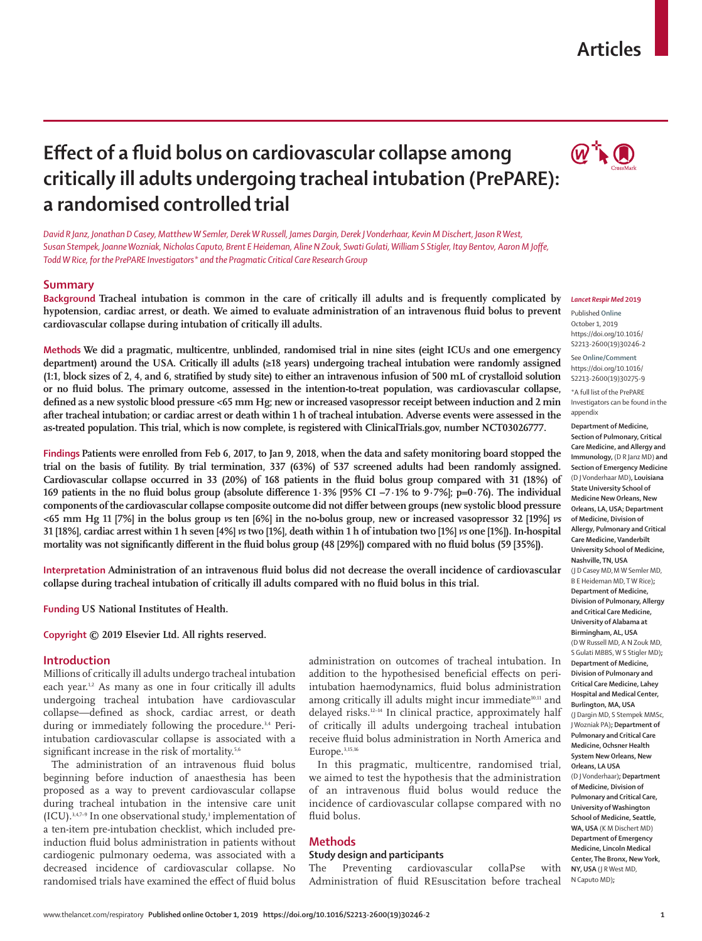## **Articles**

# **Effect of a fluid bolus on cardiovascular collapse among critically ill adults undergoing tracheal intubation (PrePARE): a randomised controlled trial**



*David R Janz, Jonathan D Casey, Matthew W Semler, Derek W Russell, James Dargin, Derek J Vonderhaar, Kevin M Dischert, Jason R West, Susan Stempek, Joanne Wozniak, Nicholas Caputo, Brent E Heideman, Aline N Zouk, Swati Gulati, William S Stigler, Itay Bentov, Aaron M Joffe, Todd W Rice, for the PrePARE Investigators\* and the Pragmatic Critical Care Research Group*

## **Summary**

**Background Tracheal intubation is common in the care of critically ill adults and is frequently complicated by hypotension, cardiac arrest, or death. We aimed to evaluate administration of an intravenous fluid bolus to prevent cardiovascular collapse during intubation of critically ill adults.**

**Methods We did a pragmatic, multicentre, unblinded, randomised trial in nine sites (eight ICUs and one emergency department) around the USA. Critically ill adults (≥18 years) undergoing tracheal intubation were randomly assigned (1:1, block sizes of 2, 4, and 6, stratified by study site) to either an intravenous infusion of 500 mL of crystalloid solution or no fluid bolus. The primary outcome, assessed in the intention-to-treat population, was cardiovascular collapse, defined as a new systolic blood pressure <65 mm Hg; new or increased vasopressor receipt between induction and 2 min after tracheal intubation; or cardiac arrest or death within 1 h of tracheal intubation. Adverse events were assessed in the as-treated population. This trial, which is now complete, is registered with ClinicalTrials.gov, number NCT03026777.**

**Findings Patients were enrolled from Feb 6, 2017, to Jan 9, 2018, when the data and safety monitoring board stopped the trial on the basis of futility. By trial termination, 337 (63%) of 537 screened adults had been randomly assigned. Cardiovascular collapse occurred in 33 (20%) of 168 patients in the fluid bolus group compared with 31 (18%) of 169 patients in the no fluid bolus group (absolute difference 1·3% [95% CI −7·1% to 9·7%]; p=0·76). The individual components of the cardiovascular collapse composite outcome did not differ between groups (new systolic blood pressure <65 mm Hg 11 [7%] in the bolus group** *vs* **ten [6%] in the no-bolus group, new or increased vasopressor 32 [19%]** *vs* **31 [18%], cardiac arrest within 1 h seven [4%]** *vs* **two [1%], death within 1 h of intubation two [1%]** *vs* **one [1%]). In-hospital mortality was not significantly different in the fluid bolus group (48 [29%]) compared with no fluid bolus (59 [35%]).**

**Interpretation Administration of an intravenous fluid bolus did not decrease the overall incidence of cardiovascular collapse during tracheal intubation of critically ill adults compared with no fluid bolus in this trial.**

**Funding US National Institutes of Health.**

**Copyright © 2019 Elsevier Ltd. All rights reserved.**

## **Introduction**

Millions of critically ill adults undergo tracheal intubation each year.<sup>1,2</sup> As many as one in four critically ill adults undergoing tracheal intubation have cardiovascular collapse—defined as shock, cardiac arrest, or death during or immediately following the procedure.<sup>3,4</sup> Periintubation cardiovascular collapse is associated with a significant increase in the risk of mortality.<sup>5,6</sup>

The administration of an intravenous fluid bolus beginning before induction of anaesthesia has been proposed as a way to prevent cardiovascular collapse during tracheal intubation in the intensive care unit  $(ICU).$ <sup>3,4,7-9</sup> In one observational study,<sup>3</sup> implementation of a ten-item pre-intubation checklist, which included preinduction fluid bolus administration in patients without cardiogenic pulmonary oedema, was associated with a decreased incidence of cardiovascular collapse. No randomised trials have examined the effect of fluid bolus

administration on outcomes of tracheal intubation. In addition to the hypothesised beneficial effects on periintubation haemodynamics, fluid bolus administration among critically ill adults might incur immediate<sup>10,11</sup> and delayed risks.12–14 In clinical practice, approximately half of critically ill adults undergoing tracheal intubation receive fluid bolus administration in North America and Europe.3,15,16

In this pragmatic, multicentre, randomised trial, we aimed to test the hypothesis that the administration of an intravenous fluid bolus would reduce the incidence of cardiovascular collapse compared with no fluid bolus.

## **Methods**

## **Study design and participants**

The Preventing cardiovascular collaPse with Administration of fluid REsuscitation before tracheal

#### *Lancet Respir Med* **2019**

Published **Online** October 1, 2019 https://doi.org/10.1016/ S2213-2600(19)30246-2

See **Online/Comment** https://doi.org/10.1016/ S2213-2600(19)30275-9 \*A full list of the PrePARE Investigators can be found in the appendix

**Department of Medicine, Section of Pulmonary, Critical Care Medicine, and Allergy and Immunology,** (D R Janz MD) **and Section of Emergency Medicine**  (D J Vonderhaar MD)**, Louisiana State University School of Medicine New Orleans, New Orleans, LA, USA; Department of Medicine, Division of Allergy, Pulmonary and Critical Care Medicine, Vanderbilt University School of Medicine, Nashville, TN, USA** (J D Casey MD, M W Semler MD, B E Heideman MD, T W Rice)**; Department of Medicine, Division of Pulmonary, Allergy and Critical Care Medicine, University of Alabama at Birmingham, AL, USA** (D W Russell MD, A N Zouk MD, S Gulati MBBS, W S Stigler MD)**; Department of Medicine, Division of Pulmonary and Critical Care Medicine, Lahey Hospital and Medical Center, Burlington, MA, USA** (J Dargin MD, S Stempek MMSc, J Wozniak PA)**; Department of Pulmonary and Critical Care Medicine, Ochsner Health System New Orleans, New Orleans, LA USA** (D J Vonderhaar)**; Department of Medicine, Division of Pulmonary and Critical Care, University of Washington School of Medicine, Seattle, WA, USA** (K M Dischert MD) **Department of Emergency Medicine, Lincoln Medical Center, The Bronx, New York, NY, USA** (J R West MD, N Caputo MD)**;**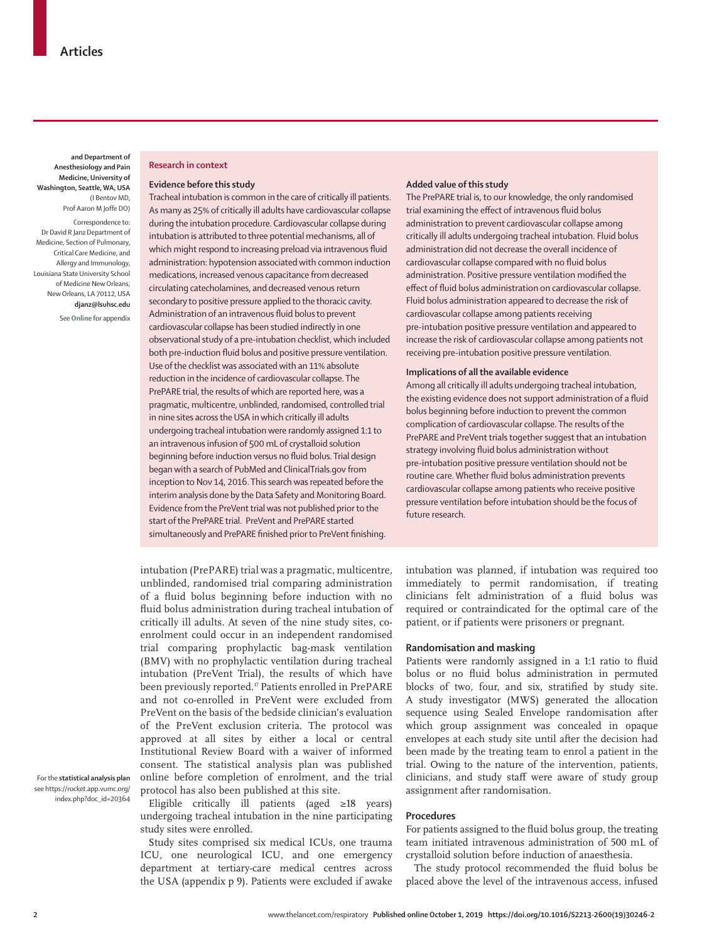**and Department of Anesthesiology and Pain Medicine, University of Washington, Seattle, WA, USA** (I Bentov MD, Prof Aaron M Joffe DO)

Correspondence to: Dr David R Janz Department of Medicine, Section of Pulmonary, Critical Care Medicine, and Allergy and Immunology, Louisiana State University School of Medicine New Orleans, New Orleans, LA 70112, USA **djanz@lsuhsc.edu**

See **Online** for appendix

#### **Research in context**

#### **Evidence before this study**

Tracheal intubation is common in the care of critically ill patients. As many as 25% of critically ill adults have cardiovascular collapse during the intubation procedure. Cardiovascular collapse during intubation is attributed to three potential mechanisms, all of which might respond to increasing preload via intravenous fluid administration: hypotension associated with common induction medications, increased venous capacitance from decreased circulating catecholamines, and decreased venous return secondary to positive pressure applied to the thoracic cavity. Administration of an intravenous fluid bolus to prevent cardiovascular collapse has been studied indirectly in one observational study of a pre-intubation checklist, which included both pre-induction fluid bolus and positive pressure ventilation. Use of the checklist was associated with an 11% absolute reduction in the incidence of cardiovascular collapse. The PrePARE trial, the results of which are reported here, was a pragmatic, multicentre, unblinded, randomised, controlled trial in nine sites across the USA in which critically ill adults undergoing tracheal intubation were randomly assigned 1:1 to an intravenous infusion of 500 mL of crystalloid solution beginning before induction versus no fluid bolus. Trial design began with a search of PubMed and ClinicalTrials.gov from inception to Nov 14, 2016. This search was repeated before the interim analysis done by the Data Safety and Monitoring Board. Evidence from the PreVent trial was not published prior to the start of the PrePARE trial. PreVent and PrePARE started simultaneously and PrePARE finished prior to PreVent finishing.

intubation (PrePARE) trial was a pragmatic, multicentre, unblinded, randomised trial comparing administration of a fluid bolus beginning before induction with no fluid bolus administration during tracheal intubation of critically ill adults. At seven of the nine study sites, coenrolment could occur in an independent randomised trial comparing prophylactic bag-mask ventilation (BMV) with no prophylactic ventilation during tracheal intubation (PreVent Trial), the results of which have been previously reported.<sup>17</sup> Patients enrolled in PrePARE and not co-enrolled in PreVent were excluded from PreVent on the basis of the bedside clinician's evaluation of the PreVent exclusion criteria. The protocol was approved at all sites by either a local or central Institutional Review Board with a waiver of informed consent. The statistical analysis plan was published online before completion of enrolment, and the trial protocol has also been published at this site.

Eligible critically ill patients (aged ≥18 years) undergoing tracheal intubation in the nine participating study sites were enrolled.

Study sites comprised six medical ICUs, one trauma ICU, one neurological ICU, and one emergency department at tertiary-care medical centres across the USA (appendix p 9). Patients were excluded if awake

#### **Added value of this study**

The PrePARE trial is, to our knowledge, the only randomised trial examining the effect of intravenous fluid bolus administration to prevent cardiovascular collapse among critically ill adults undergoing tracheal intubation. Fluid bolus administration did not decrease the overall incidence of cardiovascular collapse compared with no fluid bolus administration. Positive pressure ventilation modified the effect of fluid bolus administration on cardiovascular collapse. Fluid bolus administration appeared to decrease the risk of cardiovascular collapse among patients receiving pre-intubation positive pressure ventilation and appeared to increase the risk of cardiovascular collapse among patients not receiving pre-intubation positive pressure ventilation.

#### **Implications of all the available evidence**

Among all critically ill adults undergoing tracheal intubation, the existing evidence does not support administration of a fluid bolus beginning before induction to prevent the common complication of cardiovascular collapse. The results of the PrePARE and PreVent trials together suggest that an intubation strategy involving fluid bolus administration without pre-intubation positive pressure ventilation should not be routine care. Whether fluid bolus administration prevents cardiovascular collapse among patients who receive positive pressure ventilation before intubation should be the focus of future research.

intubation was planned, if intubation was required too immediately to permit randomisation, if treating clinicians felt administration of a fluid bolus was required or contraindicated for the optimal care of the patient, or if patients were prisoners or pregnant.

## **Randomisation and masking**

Patients were randomly assigned in a 1:1 ratio to fluid bolus or no fluid bolus administration in permuted blocks of two, four, and six, stratified by study site. A study investigator (MWS) generated the allocation sequence using Sealed Envelope randomisation after which group assignment was concealed in opaque envelopes at each study site until after the decision had been made by the treating team to enrol a patient in the trial. Owing to the nature of the intervention, patients, clinicians, and study staff were aware of study group assignment after randomisation.

## **Procedures**

For patients assigned to the fluid bolus group, the treating team initiated intravenous administration of 500 mL of crystalloid solution before induction of anaesthesia.

The study protocol recommended the fluid bolus be placed above the level of the intravenous access, infused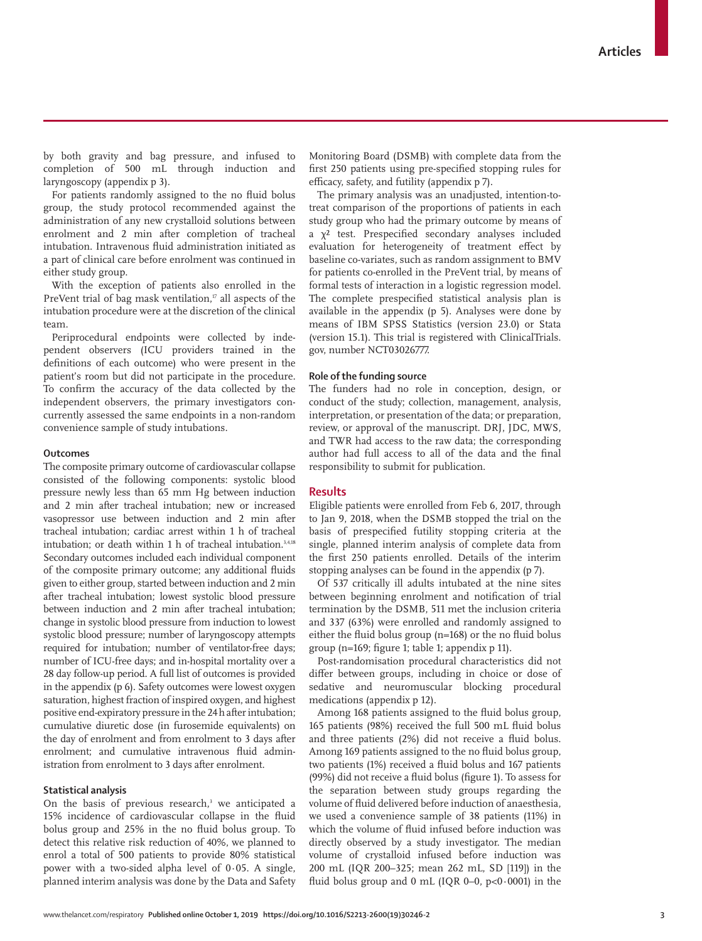by both gravity and bag pressure, and infused to completion of 500 mL through induction and laryngoscopy (appendix p 3).

For patients randomly assigned to the no fluid bolus group, the study protocol recommended against the administration of any new crystalloid solutions between enrolment and 2 min after completion of tracheal intubation. Intravenous fluid administration initiated as a part of clinical care before enrolment was continued in either study group.

With the exception of patients also enrolled in the PreVent trial of bag mask ventilation, $\mathbb{F}$  all aspects of the intubation procedure were at the discretion of the clinical team.

Periprocedural endpoints were collected by independent observers (ICU providers trained in the definitions of each outcome) who were present in the patient's room but did not participate in the procedure. To confirm the accuracy of the data collected by the independent observers, the primary investigators concurrently assessed the same endpoints in a non-random convenience sample of study intubations.

#### **Outcomes**

The composite primary outcome of cardiovascular collapse consisted of the following components: systolic blood pressure newly less than 65 mm Hg between induction and 2 min after tracheal intubation; new or increased vasopressor use between induction and 2 min after tracheal intubation; cardiac arrest within 1 h of tracheal intubation; or death within 1 h of tracheal intubation.3,4,18 Secondary outcomes included each individual component of the composite primary outcome; any additional fluids given to either group, started between induction and 2 min after tracheal intubation; lowest systolic blood pressure between induction and 2 min after tracheal intubation; change in systolic blood pressure from induction to lowest systolic blood pressure; number of laryngoscopy attempts required for intubation; number of ventilator-free days; number of ICU-free days; and in-hospital mortality over a 28 day follow-up period. A full list of outcomes is provided in the appendix (p 6). Safety outcomes were lowest oxygen saturation, highest fraction of inspired oxygen, and highest positive end-expiratory pressure in the 24 h after intubation; cumulative diuretic dose (in furosemide equivalents) on the day of enrolment and from enrolment to 3 days after enrolment; and cumulative intravenous fluid administration from enrolment to 3 days after enrolment.

#### **Statistical analysis**

On the basis of previous research,<sup>3</sup> we anticipated a 15% incidence of cardiovascular collapse in the fluid bolus group and 25% in the no fluid bolus group. To detect this relative risk reduction of 40%, we planned to enrol a total of 500 patients to provide 80% statistical power with a two-sided alpha level of 0·05. A single, planned interim analysis was done by the Data and Safety

Monitoring Board (DSMB) with complete data from the first 250 patients using pre-specified stopping rules for efficacy, safety, and futility (appendix p 7).

The primary analysis was an unadjusted, intention-totreat comparison of the proportions of patients in each study group who had the primary outcome by means of a  $\chi^2$  test. Prespecified secondary analyses included evaluation for heterogeneity of treatment effect by baseline co-variates, such as random assignment to BMV for patients co-enrolled in the PreVent trial, by means of formal tests of interaction in a logistic regression model. The complete prespecified statistical analysis plan is available in the appendix (p 5). Analyses were done by means of IBM SPSS Statistics (version 23.0) or Stata (version 15.1). This trial is registered with ClinicalTrials. gov, number NCT03026777.

#### **Role of the funding source**

The funders had no role in conception, design, or conduct of the study; collection, management, analysis, interpretation, or presentation of the data; or preparation, review, or approval of the manuscript. DRJ, JDC, MWS, and TWR had access to the raw data; the corresponding author had full access to all of the data and the final responsibility to submit for publication.

## **Results**

Eligible patients were enrolled from Feb 6, 2017, through to Jan 9, 2018, when the DSMB stopped the trial on the basis of prespecified futility stopping criteria at the single, planned interim analysis of complete data from the first 250 patients enrolled. Details of the interim stopping analyses can be found in the appendix (p 7).

Of 537 critically ill adults intubated at the nine sites between beginning enrolment and notification of trial termination by the DSMB, 511 met the inclusion criteria and 337 (63%) were enrolled and randomly assigned to either the fluid bolus group (n=168) or the no fluid bolus group (n=169; figure 1; table 1; appendix p 11).

Post-randomisation procedural characteristics did not differ between groups, including in choice or dose of sedative and neuromuscular blocking procedural medications (appendix p 12).

Among 168 patients assigned to the fluid bolus group, 165 patients (98%) received the full 500 mL fluid bolus and three patients (2%) did not receive a fluid bolus. Among 169 patients assigned to the no fluid bolus group, two patients (1%) received a fluid bolus and 167 patients (99%) did not receive a fluid bolus (figure 1). To assess for the separation between study groups regarding the volume of fluid delivered before induction of anaesthesia, we used a convenience sample of 38 patients (11%) in which the volume of fluid infused before induction was directly observed by a study investigator. The median volume of crystalloid infused before induction was 200 mL (IQR 200–325; mean 262 mL, SD [119]) in the fluid bolus group and  $0$  mL (IQR 0–0,  $p<0.0001$ ) in the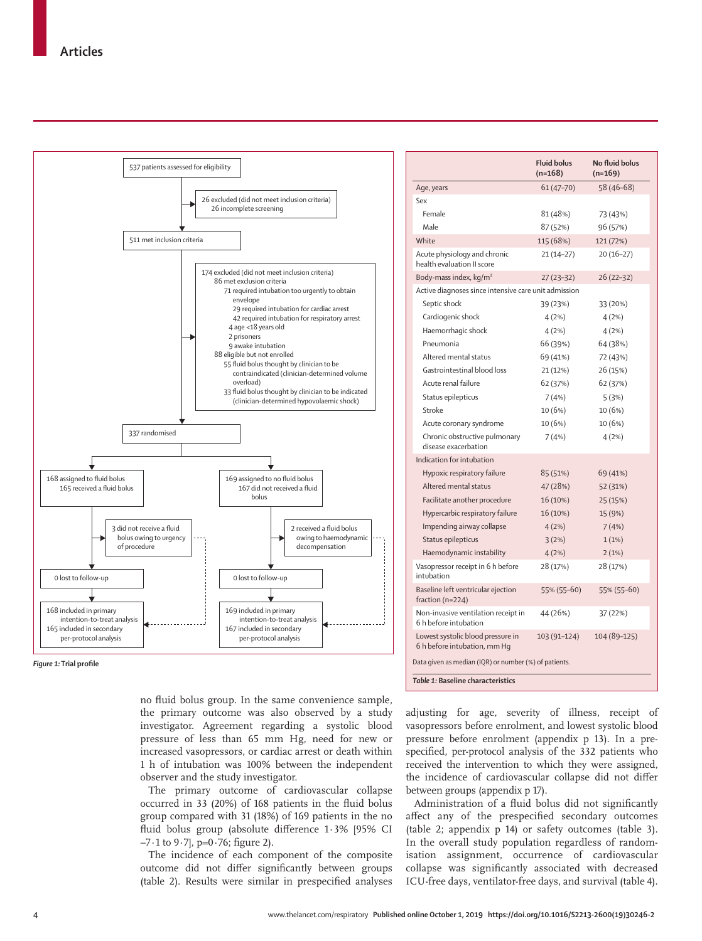

*Figure 1:* **Trial profile**

no fluid bolus group. In the same convenience sample, the primary outcome was also observed by a study investigator. Agreement regarding a systolic blood pressure of less than 65 mm Hg, need for new or increased vasopressors, or cardiac arrest or death within 1 h of intubation was 100% between the independent observer and the study investigator.

The primary outcome of cardiovascular collapse occurred in 33 (20%) of 168 patients in the fluid bolus group compared with 31 (18%) of 169 patients in the no fluid bolus group (absolute difference 1·3% [95% CI −7·1 to 9·7], p=0·76; figure 2).

The incidence of each component of the composite outcome did not differ significantly between groups (table 2). Results were similar in prespecified analyses

| 58 (46-68)<br>$61(47 - 70)$<br>Age, years<br>Sex<br>Female<br>81 (48%)<br>73 (43%)<br>Male<br>87 (52%)<br>96 (57%)<br>White<br>115 (68%)<br>121 (72%)<br>Acute physiology and chronic<br>$21(14-27)$<br>$20(16-27)$<br>health evaluation II score<br>Body-mass index, $kg/m2$<br>27 (23 - 32)<br>26 (22–32) |  |  |  |  |  |  |
|-------------------------------------------------------------------------------------------------------------------------------------------------------------------------------------------------------------------------------------------------------------------------------------------------------------|--|--|--|--|--|--|
|                                                                                                                                                                                                                                                                                                             |  |  |  |  |  |  |
|                                                                                                                                                                                                                                                                                                             |  |  |  |  |  |  |
|                                                                                                                                                                                                                                                                                                             |  |  |  |  |  |  |
|                                                                                                                                                                                                                                                                                                             |  |  |  |  |  |  |
|                                                                                                                                                                                                                                                                                                             |  |  |  |  |  |  |
|                                                                                                                                                                                                                                                                                                             |  |  |  |  |  |  |
|                                                                                                                                                                                                                                                                                                             |  |  |  |  |  |  |
| Active diagnoses since intensive care unit admission                                                                                                                                                                                                                                                        |  |  |  |  |  |  |
| Septic shock<br>39 (23%)<br>33 (20%)                                                                                                                                                                                                                                                                        |  |  |  |  |  |  |
| Cardiogenic shock<br>4 (2%)<br>4(2%)                                                                                                                                                                                                                                                                        |  |  |  |  |  |  |
| Haemorrhagic shock<br>4(2%)<br>4(2%)                                                                                                                                                                                                                                                                        |  |  |  |  |  |  |
| Pneumonia<br>66 (39%)<br>64 (38%)                                                                                                                                                                                                                                                                           |  |  |  |  |  |  |
| Altered mental status<br>69 (41%)<br>72 (43%)                                                                                                                                                                                                                                                               |  |  |  |  |  |  |
| Gastrointestinal blood loss<br>21 (12%)<br>26 (15%)                                                                                                                                                                                                                                                         |  |  |  |  |  |  |
| Acute renal failure<br>62 (37%)<br>62 (37%)                                                                                                                                                                                                                                                                 |  |  |  |  |  |  |
| Status epilepticus<br>7(4%)<br>5(3%)                                                                                                                                                                                                                                                                        |  |  |  |  |  |  |
| Stroke<br>10 (6%)<br>10 (6%)                                                                                                                                                                                                                                                                                |  |  |  |  |  |  |
| 10 (6%)<br>Acute coronary syndrome<br>10 (6%)                                                                                                                                                                                                                                                               |  |  |  |  |  |  |
| Chronic obstructive pulmonary<br>7(4%)<br>4(2%)<br>disease exacerbation                                                                                                                                                                                                                                     |  |  |  |  |  |  |
| Indication for intubation                                                                                                                                                                                                                                                                                   |  |  |  |  |  |  |
| Hypoxic respiratory failure<br>85 (51%)<br>69 (41%)                                                                                                                                                                                                                                                         |  |  |  |  |  |  |
| Altered mental status<br>47 (28%)<br>52 (31%)                                                                                                                                                                                                                                                               |  |  |  |  |  |  |
| Facilitate another procedure<br>16 (10%)<br>25 (15%)                                                                                                                                                                                                                                                        |  |  |  |  |  |  |
| Hypercarbic respiratory failure<br>16 (10%)<br>15 (9%)                                                                                                                                                                                                                                                      |  |  |  |  |  |  |
| Impending airway collapse<br>7(4%)<br>4(2%)                                                                                                                                                                                                                                                                 |  |  |  |  |  |  |
| Status epilepticus<br>3(2%)<br>1(1%)                                                                                                                                                                                                                                                                        |  |  |  |  |  |  |
| Haemodynamic instability<br>4(2%)<br>2(1%)                                                                                                                                                                                                                                                                  |  |  |  |  |  |  |
| Vasopressor receipt in 6 h before<br>28 (17%)<br>28 (17%)<br>intubation                                                                                                                                                                                                                                     |  |  |  |  |  |  |
| Baseline left ventricular ejection<br>55% (55-60)<br>55% (55-60)<br>fraction (n=224)                                                                                                                                                                                                                        |  |  |  |  |  |  |
| Non-invasive ventilation receipt in<br>44 (26%)<br>37 (22%)<br>6 h before intubation                                                                                                                                                                                                                        |  |  |  |  |  |  |
| Lowest systolic blood pressure in<br>103 (91-124)<br>104 (89-125)<br>6 h before intubation, mm Hq                                                                                                                                                                                                           |  |  |  |  |  |  |
| Data given as median (IQR) or number (%) of patients.                                                                                                                                                                                                                                                       |  |  |  |  |  |  |

adjusting for age, severity of illness, receipt of vasopressors before enrolment, and lowest systolic blood pressure before enrolment (appendix p 13). In a prespecified, per-protocol analysis of the 332 patients who received the intervention to which they were assigned, the incidence of cardiovascular collapse did not differ between groups (appendix p 17).

Administration of a fluid bolus did not significantly affect any of the prespecified secondary outcomes (table 2; appendix p 14) or safety outcomes (table 3). In the overall study population regardless of randomisation assignment, occurrence of cardiovascular collapse was significantly associated with decreased ICU-free days, ventilator-free days, and survival (table 4).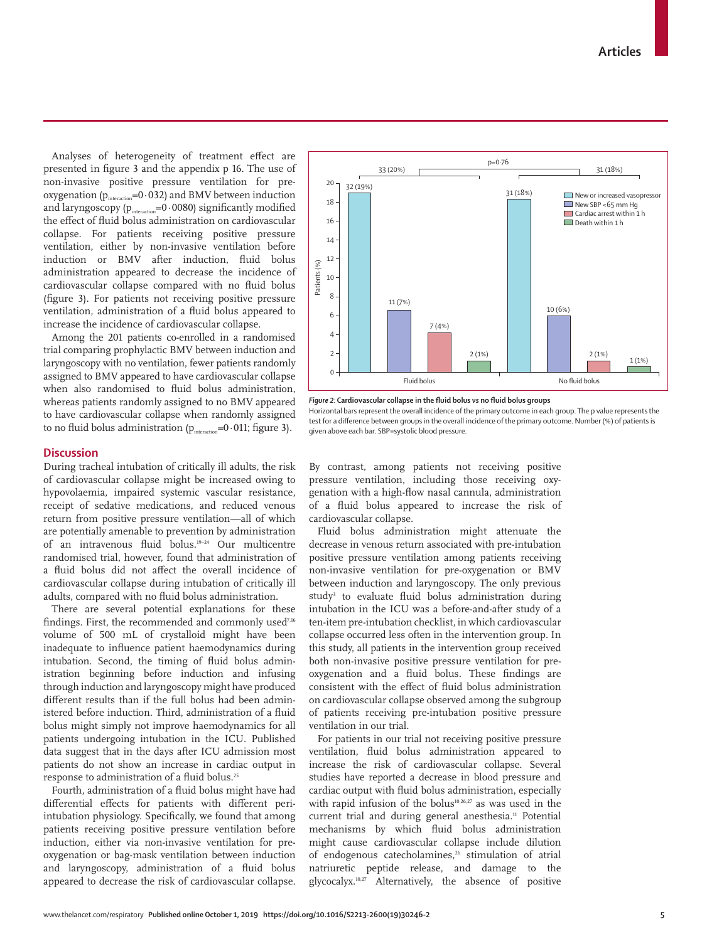Analyses of heterogeneity of treatment effect are presented in figure 3 and the appendix p 16. The use of non-invasive positive pressure ventilation for preoxygenation ( $p_{\textrm{\tiny interaction}}$ =0·032) and BMV between induction and laryngoscopy ( $p_{\text{interaction}}$ =0·0080) significantly modified the effect of fluid bolus administration on cardiovascular collapse. For patients receiving positive pressure ventilation, either by non-invasive ventilation before induction or BMV after induction, fluid bolus administration appeared to decrease the incidence of cardiovascular collapse compared with no fluid bolus (figure 3). For patients not receiving positive pressure ventilation, administration of a fluid bolus appeared to increase the incidence of cardiovascular collapse.

Among the 201 patients co-enrolled in a randomised trial comparing prophylactic BMV between induction and laryngoscopy with no ventilation, fewer patients randomly assigned to BMV appeared to have cardiovascular collapse when also randomised to fluid bolus administration, whereas patients randomly assigned to no BMV appeared to have cardiovascular collapse when randomly assigned to no fluid bolus administration ( $p_{interaction}=0.011$ ; figure 3).

## **Discussion**

During tracheal intubation of critically ill adults, the risk of cardiovascular collapse might be increased owing to hypovolaemia, impaired systemic vascular resistance, receipt of sedative medications, and reduced venous return from positive pressure ventilation—all of which are potentially amenable to prevention by administration of an intravenous fluid bolus.19–24 Our multicentre randomised trial, however, found that administration of a fluid bolus did not affect the overall incidence of cardiovascular collapse during intubation of critically ill adults, compared with no fluid bolus administration.

There are several potential explanations for these findings. First, the recommended and commonly used<sup>7,16</sup> volume of 500 mL of crystalloid might have been inadequate to influence patient haemodynamics during intubation. Second, the timing of fluid bolus administration beginning before induction and infusing through induction and laryngoscopy might have produced different results than if the full bolus had been administered before induction. Third, administration of a fluid bolus might simply not improve haemodynamics for all patients undergoing intubation in the ICU. Published data suggest that in the days after ICU admission most patients do not show an increase in cardiac output in response to administration of a fluid bolus.<sup>25</sup>

Fourth, administration of a fluid bolus might have had differential effects for patients with different periintubation physiology. Specifically, we found that among patients receiving positive pressure ventilation before induction, either via non-invasive ventilation for preoxygenation or bag-mask ventilation between induction and laryngoscopy, administration of a fluid bolus appeared to decrease the risk of cardiovascular collapse.



*Figure 2:* **Cardiovascular collapse in the fluid bolus** *vs* **no fluid bolus groups**

Horizontal bars represent the overall incidence of the primary outcome in each group. The p value represents the test for a difference between groups in the overall incidence of the primary outcome. Number (%) of patients is given above each bar. SBP=systolic blood pressure.

By contrast, among patients not receiving positive pressure ventilation, including those receiving oxygenation with a high-flow nasal cannula, administration of a fluid bolus appeared to increase the risk of cardiovascular collapse.

Fluid bolus administration might attenuate the decrease in venous return associated with pre-intubation positive pressure ventilation among patients receiving non-invasive ventilation for pre-oxygenation or BMV between induction and laryngoscopy. The only previous study<sup>3</sup> to evaluate fluid bolus administration during intubation in the ICU was a before-and-after study of a ten-item pre-intubation checklist, in which cardiovascular collapse occurred less often in the intervention group. In this study, all patients in the intervention group received both non-invasive positive pressure ventilation for preoxygenation and a fluid bolus. These findings are consistent with the effect of fluid bolus administration on cardiovascular collapse observed among the subgroup of patients receiving pre-intubation positive pressure ventilation in our trial.

For patients in our trial not receiving positive pressure ventilation, fluid bolus administration appeared to increase the risk of cardiovascular collapse. Several studies have reported a decrease in blood pressure and cardiac output with fluid bolus administration, especially with rapid infusion of the bolus<sup>10,26,27</sup> as was used in the current trial and during general anesthesia.<sup>11</sup> Potential mechanisms by which fluid bolus administration might cause cardiovascular collapse include dilution of endogenous catecholamines,<sup>26</sup> stimulation of atrial natriuretic peptide release, and damage to the glycocalyx.10,27 Alternatively, the absence of positive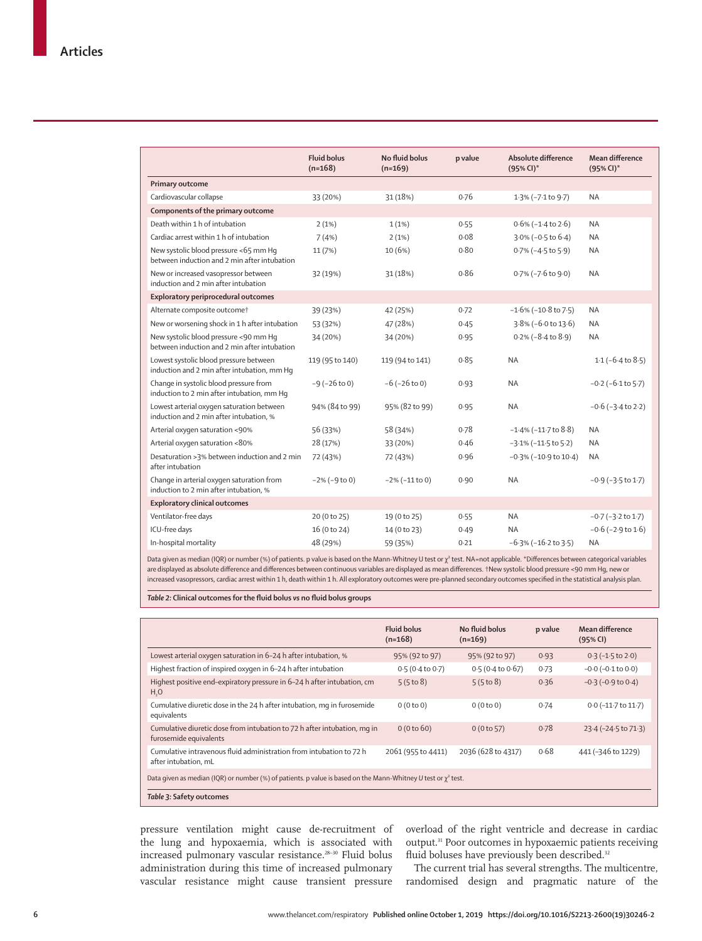|                                                                                       | <b>Fluid bolus</b><br>$(n=168)$ | No fluid bolus<br>$(n=169)$ | p value | Absolute difference<br>$(95% CI)^*$ | Mean difference<br>$(95%$ CI)* |
|---------------------------------------------------------------------------------------|---------------------------------|-----------------------------|---------|-------------------------------------|--------------------------------|
| Primary outcome                                                                       |                                 |                             |         |                                     |                                |
| Cardiovascular collapse                                                               | 33 (20%)                        | 31 (18%)                    | 0.76    | 1.3% (-7.1 to 9.7)                  | <b>NA</b>                      |
| Components of the primary outcome                                                     |                                 |                             |         |                                     |                                |
| Death within 1 h of intubation                                                        | 2(1%)                           | 1(1%)                       | 0.55    | $0.6\%$ ( $-1.4$ to 2.6)            | <b>NA</b>                      |
| Cardiac arrest within 1 h of intubation                                               | 7(4%)                           | 2(1%)                       | 0.08    | $3.0\% (-0.5 \text{ to } 6.4)$      | <b>NA</b>                      |
| New systolic blood pressure <65 mm Hq<br>between induction and 2 min after intubation | 11 (7%)                         | 10(6%)                      | 0.80    | $0.7\%$ (-4.5 to 5.9)               | <b>NA</b>                      |
| New or increased vasopressor between<br>induction and 2 min after intubation          | 32 (19%)                        | 31 (18%)                    | 0.86    | $0.7\%$ ( $-7.6$ to $9.0$ )         | <b>NA</b>                      |
| Exploratory periprocedural outcomes                                                   |                                 |                             |         |                                     |                                |
| Alternate composite outcome†                                                          | 39 (23%)                        | 42 (25%)                    | 0.72    | $-1.6\%$ ( $-10.8$ to 7.5)          | <b>NA</b>                      |
| New or worsening shock in 1 h after intubation                                        | 53 (32%)                        | 47 (28%)                    | 0.45    | 3.8% (-6.0 to 13.6)                 | <b>NA</b>                      |
| New systolic blood pressure <90 mm Hq<br>between induction and 2 min after intubation | 34 (20%)                        | 34 (20%)                    | 0.95    | $0.2\%$ ( $-8.4$ to $8.9$ )         | <b>NA</b>                      |
| Lowest systolic blood pressure between<br>induction and 2 min after intubation, mm Hq | 119 (95 to 140)                 | 119 (94 to 141)             | 0.85    | <b>NA</b>                           | $1.1$ ( $-6.4$ to $8.5$ )      |
| Change in systolic blood pressure from<br>induction to 2 min after intubation, mm Hq  | $-9$ ( $-26$ to 0)              | $-6$ ( $-26$ to 0)          | 0.93    | <b>NA</b>                           | $-0.2$ ( $-6.1$ to $5.7$ )     |
| Lowest arterial oxygen saturation between<br>induction and 2 min after intubation, %  | 94% (84 to 99)                  | 95% (82 to 99)              | 0.95    | <b>NA</b>                           | $-0.6$ ( $-3.4$ to 2.2)        |
| Arterial oxygen saturation <90%                                                       | 56 (33%)                        | 58 (34%)                    | 0.78    | $-1.4\%$ ( $-11.7$ to $8.8$ )       | <b>NA</b>                      |
| Arterial oxygen saturation <80%                                                       | 28 (17%)                        | 33 (20%)                    | 0.46    | $-3.1\%$ ( $-11.5$ to $5.2$ )       | <b>NA</b>                      |
| Desaturation >3% between induction and 2 min<br>after intubation                      | 72 (43%)                        | 72 (43%)                    | 0.96    | $-0.3\%$ ( $-10.9$ to $10.4$ )      | <b>NA</b>                      |
| Change in arterial oxygen saturation from<br>induction to 2 min after intubation, %   | $-2\%$ ( $-9$ to 0)             | $-2\%$ ( $-11$ to 0)        | 0.90    | <b>NA</b>                           | $-0.9$ ( $-3.5$ to 1.7)        |
| <b>Exploratory clinical outcomes</b>                                                  |                                 |                             |         |                                     |                                |
| Ventilator-free days                                                                  | 20 (0 to 25)                    | 19 (0 to 25)                | 0.55    | <b>NA</b>                           | $-0.7$ ( $-3.2$ to 1.7)        |
| ICU-free days                                                                         | 16 (0 to 24)                    | 14 (0 to 23)                | 0.49    | <b>NA</b>                           | $-0.6$ ( $-2.9$ to $1.6$ )     |
| In-hospital mortality                                                                 | 48 (29%)                        | 59 (35%)                    | 0.21    | $-6.3\%$ ( $-16.2$ to 3.5)          | <b>NA</b>                      |

Data given as median (IQR) or number (%) of patients. p value is based on the Mann-Whitney U test or  $\chi^2$  test. NA=not applicable. \*Differences between categorical variables are displayed as absolute difference and differences between continuous variables are displayed as mean differences. †New systolic blood pressure <90 mm Hg, new or increased vasopressors, cardiac arrest within 1 h, death within 1 h. All exploratory outcomes were pre-planned secondary outcomes specified in the statistical analysis plan.

*Table 2:* **Clinical outcomes for the fluid bolus** *vs* **no fluid bolus groups**

|                                                                                                                     | <b>Fluid bolus</b><br>$(n=168)$ | No fluid bolus<br>$(n=169)$ | p value | Mean difference<br>(95% CI) |  |
|---------------------------------------------------------------------------------------------------------------------|---------------------------------|-----------------------------|---------|-----------------------------|--|
| Lowest arterial oxygen saturation in 6-24 h after intubation, %                                                     | 95% (92 to 97)                  | 95% (92 to 97)              | 0.93    | $0.3(-1.5 \text{ to } 2.0)$ |  |
| Highest fraction of inspired oxygen in 6-24 h after intubation                                                      | 0.5(0.4 to 0.7)                 | 0.5(0.4 to 0.67)            | 0.73    | $-0.0$ ( $-0.1$ to $0.0$ )  |  |
| Highest positive end-expiratory pressure in 6-24 h after intubation, cm<br>H <sub>2</sub> O                         | 5(5 to 8)                       | 5(5 to 8)                   | 0.36    | $-0.3$ ( $-0.9$ to $0.4$ )  |  |
| Cumulative diuretic dose in the 24 h after intubation, mg in furosemide<br>equivalents                              | 0(0 to 0)                       | 0(0 to 0)                   | 0.74    | $0.0$ (-11.7 to 11.7)       |  |
| Cumulative diuretic dose from intubation to 72 h after intubation, mg in<br>furosemide equivalents                  | 0(0 to 60)                      | 0(0 to 57)                  | 0.78    | 23.4 (-24.5 to 71.3)        |  |
| Cumulative intravenous fluid administration from intubation to 72 h<br>after intubation, mL                         | 2061 (955 to 4411)              | 2036 (628 to 4317)          | 0.68    | 441 (-346 to 1229)          |  |
| Data given as median (IQR) or number (%) of patients. p value is based on the Mann-Whitney U test or $\chi^2$ test. |                                 |                             |         |                             |  |

*Table 3:* **Safety outcomes**

pressure ventilation might cause de-recruitment of the lung and hypoxaemia, which is associated with increased pulmonary vascular resistance.<sup>28-30</sup> Fluid bolus administration during this time of increased pulmonary vascular resistance might cause transient pressure

overload of the right ventricle and decrease in cardiac output.31 Poor outcomes in hypoxaemic patients receiving fluid boluses have previously been described.<sup>32</sup>

The current trial has several strengths. The multicentre, randomised design and pragmatic nature of the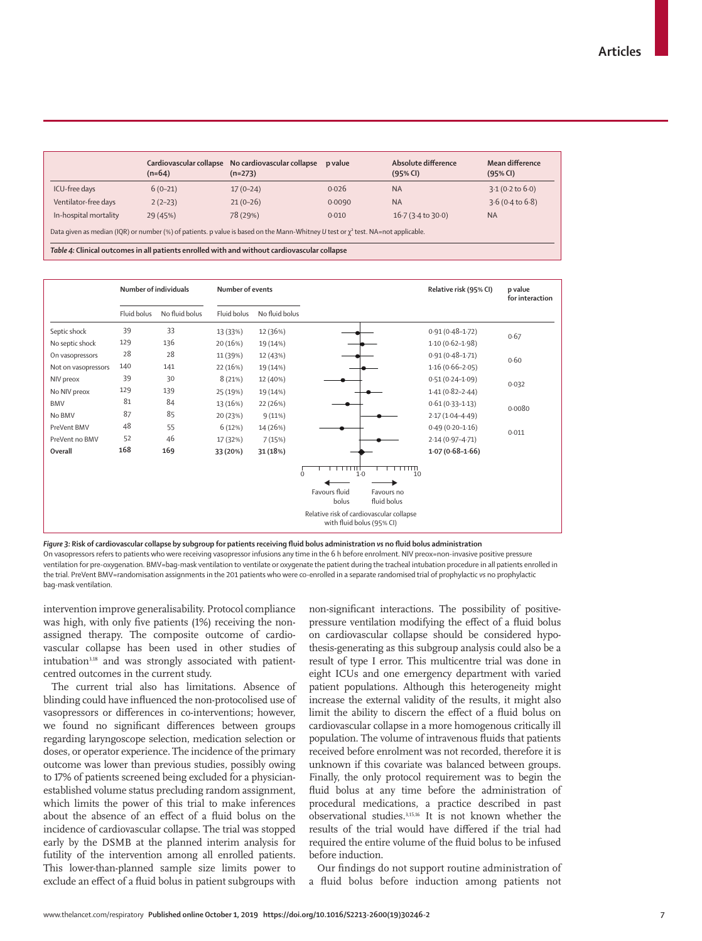|                                                                                                                                        | Cardiovascular collapse<br>$(n=64)$ | No cardiovascular collapse<br>$(n=273)$ | p value | Absolute difference<br>(95% CI) | Mean difference<br>(95% CI) |  |
|----------------------------------------------------------------------------------------------------------------------------------------|-------------------------------------|-----------------------------------------|---------|---------------------------------|-----------------------------|--|
| ICU-free days                                                                                                                          | $6(0-21)$                           | $17(0-24)$                              | 0.026   | <b>NA</b>                       | $3.1(0.2 \text{ to } 6.0)$  |  |
| Ventilator-free days                                                                                                                   | $2(2-23)$                           | $21(0-26)$                              | 0.0090  | <b>NA</b>                       | 3.6(0.4 to 6.8)             |  |
| In-hospital mortality                                                                                                                  | 29 (45%)                            | 78 (29%)                                | 0.010   | $16.7(3.4 \text{ to } 30.0)$    | <b>NA</b>                   |  |
| Data given as median (IQR) or number (%) of patients. p value is based on the Mann-Whitney U test or $\chi^2$ test. NA=not applicable. |                                     |                                         |         |                                 |                             |  |

*Table 4:* **Clinical outcomes in all patients enrolled with and without cardiovascular collapse**



*Figure 3:* **Risk of cardiovascular collapse by subgroup for patients receiving fluid bolus administration** *vs* **no fluid bolus administration** On vasopressors refers to patients who were receiving vasopressor infusions any time in the 6 h before enrolment. NIV preox=non-invasive positive pressure ventilation for pre-oxygenation. BMV=bag-mask ventilation to ventilate or oxygenate the patient during the tracheal intubation procedure in all patients enrolled in the trial. PreVent BMV=randomisation assignments in the 201 patients who were co-enrolled in a separate randomised trial of prophylactic *vs* no prophylactic bag-mask ventilation.

intervention improve generalisability. Protocol compliance was high, with only five patients (1%) receiving the nonassigned therapy. The composite outcome of cardiovascular collapse has been used in other studies of intubation<sup>3,18</sup> and was strongly associated with patientcentred outcomes in the current study.

The current trial also has limitations. Absence of blinding could have influenced the non-protocolised use of vasopressors or differences in co-interventions; however, we found no significant differences between groups regarding laryngoscope selection, medication selection or doses, or operator experience. The incidence of the primary outcome was lower than previous studies, possibly owing to 17% of patients screened being excluded for a physicianestablished volume status precluding random assignment, which limits the power of this trial to make inferences about the absence of an effect of a fluid bolus on the incidence of cardiovascular collapse. The trial was stopped early by the DSMB at the planned interim analysis for futility of the intervention among all enrolled patients. This lower-than-planned sample size limits power to exclude an effect of a fluid bolus in patient subgroups with non-significant interactions. The possibility of positivepressure ventilation modifying the effect of a fluid bolus on cardiovascular collapse should be considered hypothesis-generating as this subgroup analysis could also be a result of type I error. This multicentre trial was done in eight ICUs and one emergency department with varied patient populations. Although this heterogeneity might increase the external validity of the results, it might also limit the ability to discern the effect of a fluid bolus on cardiovascular collapse in a more homogenous critically ill population. The volume of intravenous fluids that patients received before enrolment was not recorded, therefore it is unknown if this covariate was balanced between groups. Finally, the only protocol requirement was to begin the fluid bolus at any time before the administration of procedural medications, a practice described in past observational studies.3,15,16 It is not known whether the results of the trial would have differed if the trial had required the entire volume of the fluid bolus to be infused before induction.

Our findings do not support routine administration of a fluid bolus before induction among patients not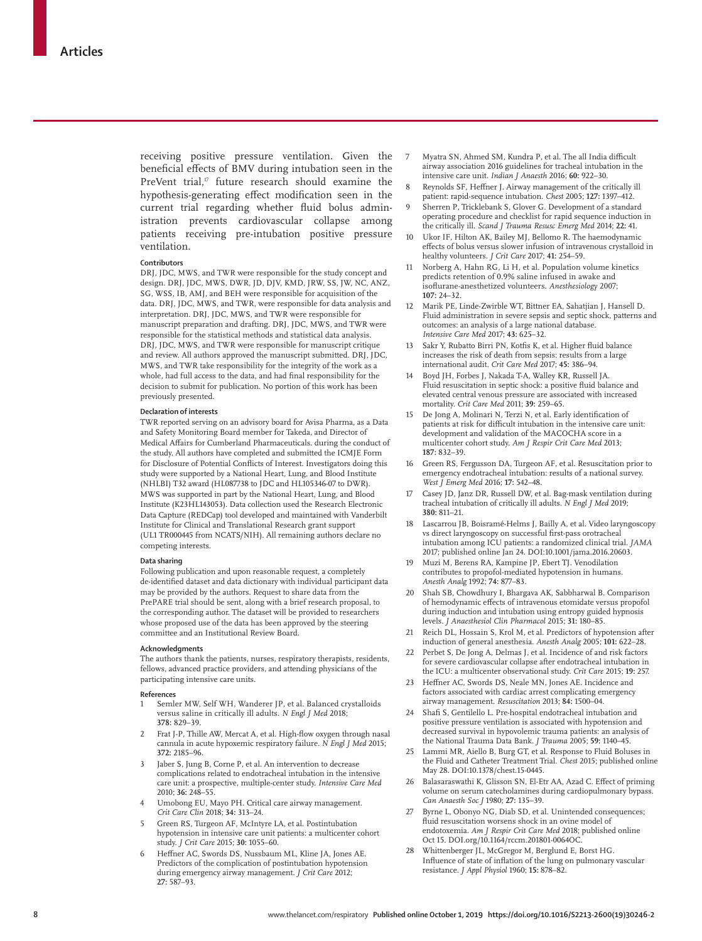receiving positive pressure ventilation. Given the beneficial effects of BMV during intubation seen in the PreVent trial,<sup>17</sup> future research should examine the hypothesis-generating effect modification seen in the current trial regarding whether fluid bolus administration prevents cardiovascular collapse among patients receiving pre-intubation positive pressure ventilation.

#### **Contributors**

DRJ, JDC, MWS, and TWR were responsible for the study concept and design. DRJ, JDC, MWS, DWR, JD, DJV, KMD, JRW, SS, JW, NC, ANZ, SG, WSS, IB, AMJ, and BEH were responsible for acquisition of the data. DRJ, JDC, MWS, and TWR, were responsible for data analysis and interpretation. DRJ, JDC, MWS, and TWR were responsible for manuscript preparation and drafting. DRJ, JDC, MWS, and TWR were responsible for the statistical methods and statistical data analysis. DRJ, JDC, MWS, and TWR were responsible for manuscript critique and review. All authors approved the manuscript submitted. DRJ, JDC, MWS, and TWR take responsibility for the integrity of the work as a whole, had full access to the data, and had final responsibility for the decision to submit for publication. No portion of this work has been previously presented.

#### **Declaration of interests**

TWR reported serving on an advisory board for Avisa Pharma, as a Data and Safety Monitoring Board member for Takeda, and Director of Medical Affairs for Cumberland Pharmaceuticals. during the conduct of the study. All authors have completed and submitted the ICMJE Form for Disclosure of Potential Conflicts of Interest. Investigators doing this study were supported by a National Heart, Lung, and Blood Institute (NHLBI) T32 award (HL087738 to JDC and HL105346-07 to DWR). MWS was supported in part by the National Heart, Lung, and Blood Institute (K23HL143053). Data collection used the Research Electronic Data Capture (REDCap) tool developed and maintained with Vanderbilt Institute for Clinical and Translational Research grant support (UL1 TR000445 from NCATS/NIH). All remaining authors declare no competing interests.

#### **Data sharing**

Following publication and upon reasonable request, a completely de-identified dataset and data dictionary with individual participant data may be provided by the authors. Request to share data from the PrePARE trial should be sent, along with a brief research proposal, to the corresponding author. The dataset will be provided to researchers whose proposed use of the data has been approved by the steering committee and an Institutional Review Board.

#### **Acknowledgments**

The authors thank the patients, nurses, respiratory therapists, residents, fellows, advanced practice providers, and attending physicians of the participating intensive care units.

#### **References**

- 1 Semler MW, Self WH, Wanderer JP, et al. Balanced crystalloids versus saline in critically ill adults. *N Engl J Med* 2018; **378:** 829–39.
- 2 Frat J-P, Thille AW, Mercat A, et al. High-flow oxygen through nasal cannula in acute hypoxemic respiratory failure. *N Engl J Med* 2015; **372:** 2185–96.
- 3 Jaber S, Jung B, Corne P, et al. An intervention to decrease complications related to endotracheal intubation in the intensive care unit: a prospective, multiple-center study. *Intensive Care Med* 2010; **36:** 248–55.
- Umobong EU, Mayo PH. Critical care airway management. *Crit Care Clin* 2018; **34:** 313–24.
- 5 Green RS, Turgeon AF, McIntyre LA, et al. Postintubation hypotension in intensive care unit patients: a multicenter cohort study. *J Crit Care* 2015; **30:** 1055–60.
- 6 Heffner AC, Swords DS, Nussbaum ML, Kline JA, Jones AE. Predictors of the complication of postintubation hypotension during emergency airway management. *J Crit Care* 2012; **27:** 587–93.
- 7 Myatra SN, Ahmed SM, Kundra P, et al. The all India difficult airway association 2016 guidelines for tracheal intubation in the intensive care unit. *Indian J Anaesth* 2016; **60:** 922–30.
- Reynolds SF, Heffner J. Airway management of the critically ill patient: rapid-sequence intubation. *Chest* 2005; **127:** 1397–412.
- Sherren P, Tricklebank S, Glover G. Development of a standard operating procedure and checklist for rapid sequence induction in the critically ill. *Scand J Trauma Resusc Emerg Med* 2014; **22:** 41.
- 10 Ukor IF, Hilton AK, Bailey MJ, Bellomo R. The haemodynamic effects of bolus versus slower infusion of intravenous crystalloid in healthy volunteers. *J Crit Care* 2017; **41:** 254–59.
- 11 Norberg A, Hahn RG, Li H, et al. Population volume kinetics predicts retention of 0.9% saline infused in awake and isoflurane-anesthetized volunteers. *Anesthesiology* 2007; **107:** 24–32.
- 12 Marik PE, Linde-Zwirble WT, Bittner EA, Sahatjian J, Hansell D. Fluid administration in severe sepsis and septic shock, patterns and outcomes: an analysis of a large national database. *Intensive Care Med* 2017; **43:** 625–32.
- 13 Sakr Y, Rubatto Birri PN, Kotfis K, et al. Higher fluid balance increases the risk of death from sepsis: results from a large international audit. *Crit Care Med* 2017; **45:** 386–94.
- 14 Boyd JH, Forbes J, Nakada T-A, Walley KR, Russell JA. Fluid resuscitation in septic shock: a positive fluid balance and elevated central venous pressure are associated with increased mortality. *Crit Care Med* 2011; **39:** 259–65.
- 15 De Jong A, Molinari N, Terzi N, et al. Early identification of patients at risk for difficult intubation in the intensive care unit: development and validation of the MACOCHA score in a multicenter cohort study. *Am J Respir Crit Care Med* 2013; **187:** 832–39.
- 16 Green RS, Fergusson DA, Turgeon AF, et al. Resuscitation prior to emergency endotracheal intubation: results of a national survey. *West J Emerg Med* 2016; **17:** 542–48.
- 17 Casey JD, Janz DR, Russell DW, et al. Bag-mask ventilation during tracheal intubation of critically ill adults. *N Engl J Med* 2019; **380:** 811–21.
- 18 Lascarrou JB, Boisramé-Helms J, Bailly A, et al. Video laryngoscopy vs direct laryngoscopy on successful first-pass orotracheal intubation among ICU patients: a randomized clinical trial. *JAMA* 2017; published online Jan 24. DOI:10.1001/jama.2016.20603.
- 19 Muzi M, Berens RA, Kampine JP, Ebert TJ. Venodilation contributes to propofol-mediated hypotension in humans. *Anesth Analg* 1992; **74:** 877–83.
- Shah SB, Chowdhury I, Bhargava AK, Sabbharwal B. Comparison of hemodynamic effects of intravenous etomidate versus propofol during induction and intubation using entropy guided hypnosis levels. *J Anaesthesiol Clin Pharmacol* 2015; **31:** 180–85.
- Reich DL, Hossain S, Krol M, et al. Predictors of hypotension after induction of general anesthesia. *Anesth Analg* 2005; **101:** 622–28.
- 22 Perbet S, De Jong A, Delmas J, et al. Incidence of and risk factors for severe cardiovascular collapse after endotracheal intubation in the ICU: a multicenter observational study. *Crit Care* 2015; **19:** 257.
- 23 Heffner AC, Swords DS, Neale MN, Jones AE. Incidence and factors associated with cardiac arrest complicating emergency airway management. *Resuscitation* 2013; **84:** 1500–04.
- Shafi S, Gentilello L. Pre-hospital endotracheal intubation and positive pressure ventilation is associated with hypotension and decreased survival in hypovolemic trauma patients: an analysis of the National Trauma Data Bank. *J Trauma* 2005; **59:** 1140–45.
- 25 Lammi MR, Aiello B, Burg GT, et al. Response to Fluid Boluses in the Fluid and Catheter Treatment Trial. *Chest* 2015; published online May 28. DOI:10.1378/chest.15-0445.
- 26 Balasaraswathi K, Glisson SN, El-Etr AA, Azad C. Effect of priming volume on serum catecholamines during cardiopulmonary bypass. *Can Anaesth Soc J* 1980; **27:** 135–39.
- Byrne L, Obonyo NG, Diab SD, et al. Unintended consequences; fluid resuscitation worsens shock in an ovine model of endotoxemia. *Am J Respir Crit Care Med* 2018; published online Oct 15. DOI.org/10.1164/rccm.201801-0064OC.
- 28 Whittenberger JL, McGregor M, Berglund E, Borst HG. Influence of state of inflation of the lung on pulmonary vascular resistance. *J Appl Physiol* 1960; **15:** 878–82.